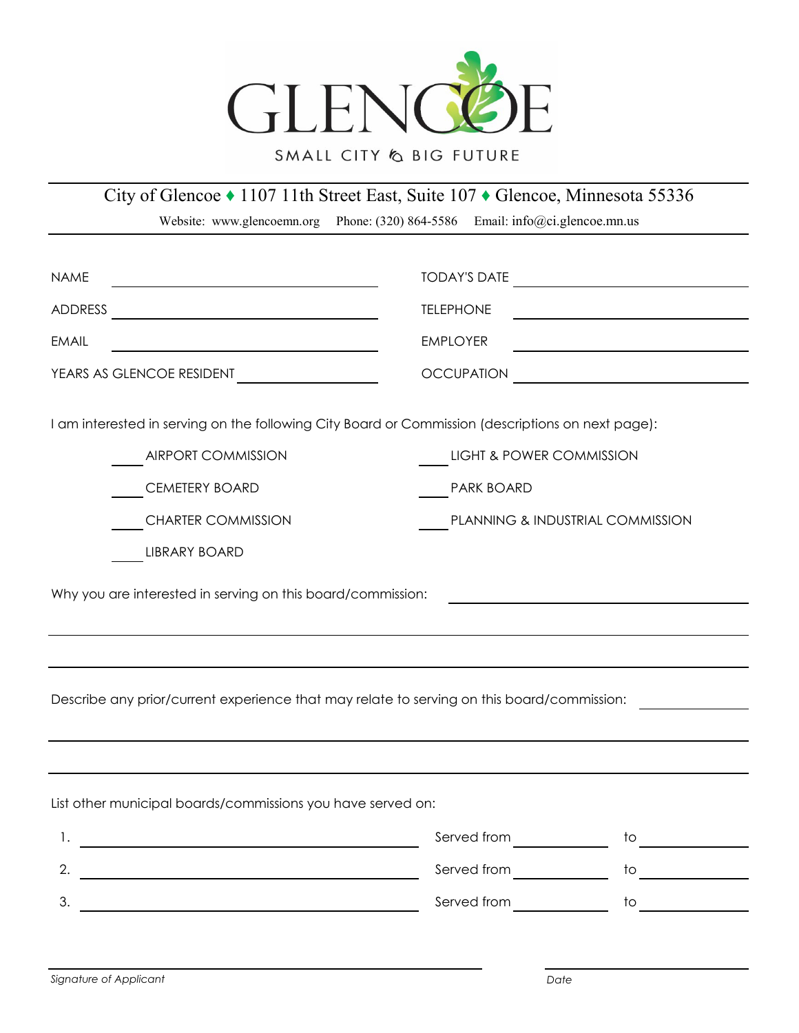

## SMALL CITY & BIG FUTURE

City of Glencoe ♦ 1107 11th Street East, Suite 107 ♦ Glencoe, Minnesota 55336

Website: www.glencoemn.org Phone: (320) 864-5586 Email: info@ci.glencoe.mn.us

| <b>NAME</b>                                                                                       | <b>TODAY'S DATE</b><br><u> 1989 - Andrea State Barbara, político e a contrar a contrar a contrar a contrar a contrar a contrar a con</u> |                               |
|---------------------------------------------------------------------------------------------------|------------------------------------------------------------------------------------------------------------------------------------------|-------------------------------|
| ADDRESS                                                                                           | <b>TELEPHONE</b>                                                                                                                         |                               |
| <b>EMAIL</b>                                                                                      | <b>EMPLOYER</b>                                                                                                                          |                               |
| YEARS AS GLENCOE RESIDENT                                                                         | <b>OCCUPATION</b><br><u> 1989 - Johann Stein, mars an t-Amerikaansk kommunister (</u>                                                    |                               |
| I am interested in serving on the following City Board or Commission (descriptions on next page): |                                                                                                                                          |                               |
| <b>AIRPORT COMMISSION</b>                                                                         | LIGHT & POWER COMMISSION                                                                                                                 |                               |
| <b>CEMETERY BOARD</b>                                                                             | <b>PARK BOARD</b>                                                                                                                        |                               |
| <b>CHARTER COMMISSION</b>                                                                         | PLANNING & INDUSTRIAL COMMISSION                                                                                                         |                               |
| LIBRARY BOARD                                                                                     |                                                                                                                                          |                               |
| Describe any prior/current experience that may relate to serving on this board/commission:        |                                                                                                                                          |                               |
| List other municipal boards/commissions you have served on:                                       |                                                                                                                                          |                               |
| 1.                                                                                                |                                                                                                                                          | $\frac{1}{2}$                 |
| 2.<br><u> 1980 - Johann Barnett, fransk politik (d. 1980)</u>                                     | Served from _______________                                                                                                              | to $\qquad \qquad \qquad$     |
| 3.                                                                                                | Served from                                                                                                                              | to<br><u> 1990 - Jan Jawa</u> |
|                                                                                                   |                                                                                                                                          |                               |